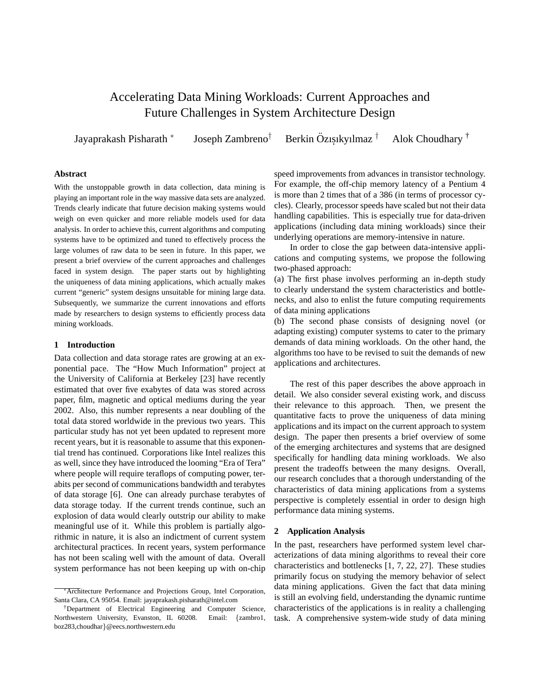# Accelerating Data Mining Workloads: Current Approaches and Future Challenges in System Architecture Design

Jayaprakash Pisharath <sup>∗</sup>

Joseph Zambreno<sup>†</sup>

Berkin Özisikyılmaz<sup>†</sup> Alok Choudhary  $<sup>†</sup>$ </sup>

# **Abstract**

With the unstoppable growth in data collection, data mining is playing an important role in the way massive data sets are analyzed. Trends clearly indicate that future decision making systems would weigh on even quicker and more reliable models used for data analysis. In order to achieve this, current algorithms and computing systems have to be optimized and tuned to effectively process the large volumes of raw data to be seen in future. In this paper, we present a brief overview of the current approaches and challenges faced in system design. The paper starts out by highlighting the uniqueness of data mining applications, which actually makes current "generic" system designs unsuitable for mining large data. Subsequently, we summarize the current innovations and efforts made by researchers to design systems to efficiently process data mining workloads.

### **1 Introduction**

Data collection and data storage rates are growing at an exponential pace. The "How Much Information" project at the University of California at Berkeley [23] have recently estimated that over five exabytes of data was stored across paper, film, magnetic and optical mediums during the year 2002. Also, this number represents a near doubling of the total data stored worldwide in the previous two years. This particular study has not yet been updated to represent more recent years, but it is reasonable to assume that this exponential trend has continued. Corporations like Intel realizes this as well, since they have introduced the looming "Era of Tera" where people will require teraflops of computing power, terabits per second of communications bandwidth and terabytes of data storage [6]. One can already purchase terabytes of data storage today. If the current trends continue, such an explosion of data would clearly outstrip our ability to make meaningful use of it. While this problem is partially algorithmic in nature, it is also an indictment of current system architectural practices. In recent years, system performance has not been scaling well with the amount of data. Overall system performance has not been keeping up with on-chip

speed improvements from advances in transistor technology. For example, the off-chip memory latency of a Pentium 4 is more than 2 times that of a 386 (in terms of processor cycles). Clearly, processor speeds have scaled but not their data handling capabilities. This is especially true for data-driven applications (including data mining workloads) since their underlying operations are memory-intensive in nature.

In order to close the gap between data-intensive applications and computing systems, we propose the following two-phased approach:

(a) The first phase involves performing an in-depth study to clearly understand the system characteristics and bottlenecks, and also to enlist the future computing requirements of data mining applications

(b) The second phase consists of designing novel (or adapting existing) computer systems to cater to the primary demands of data mining workloads. On the other hand, the algorithms too have to be revised to suit the demands of new applications and architectures.

The rest of this paper describes the above approach in detail. We also consider several existing work, and discuss their relevance to this approach. Then, we present the quantitative facts to prove the uniqueness of data mining applications and its impact on the current approach to system design. The paper then presents a brief overview of some of the emerging architectures and systems that are designed specifically for handling data mining workloads. We also present the tradeoffs between the many designs. Overall, our research concludes that a thorough understanding of the characteristics of data mining applications from a systems perspective is completely essential in order to design high performance data mining systems.

#### **2 Application Analysis**

In the past, researchers have performed system level characterizations of data mining algorithms to reveal their core characteristics and bottlenecks [1, 7, 22, 27]. These studies primarily focus on studying the memory behavior of select data mining applications. Given the fact that data mining is still an evolving field, understanding the dynamic runtime characteristics of the applications is in reality a challenging task. A comprehensive system-wide study of data mining

<sup>∗</sup>Architecture Performance and Projections Group, Intel Corporation, Santa Clara, CA 95054. Email: jayaprakash.pisharath@intel.com

<sup>†</sup>Department of Electrical Engineering and Computer Science, Northwestern University, Evanston, IL 60208. Email: {zambro1, boz283,choudhar}@eecs.northwestern.edu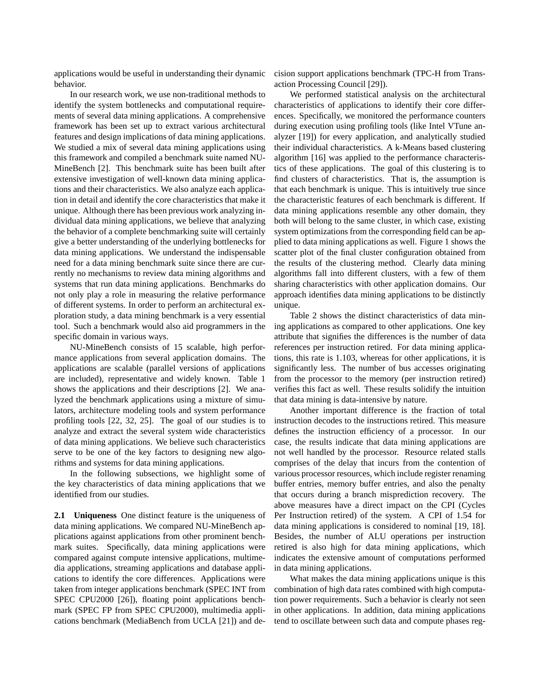applications would be useful in understanding their dynamic behavior.

In our research work, we use non-traditional methods to identify the system bottlenecks and computational requirements of several data mining applications. A comprehensive framework has been set up to extract various architectural features and design implications of data mining applications. We studied a mix of several data mining applications using this framework and compiled a benchmark suite named NU-MineBench [2]. This benchmark suite has been built after extensive investigation of well-known data mining applications and their characteristics. We also analyze each application in detail and identify the core characteristics that make it unique. Although there has been previous work analyzing individual data mining applications, we believe that analyzing the behavior of a complete benchmarking suite will certainly give a better understanding of the underlying bottlenecks for data mining applications. We understand the indispensable need for a data mining benchmark suite since there are currently no mechanisms to review data mining algorithms and systems that run data mining applications. Benchmarks do not only play a role in measuring the relative performance of different systems. In order to perform an architectural exploration study, a data mining benchmark is a very essential tool. Such a benchmark would also aid programmers in the specific domain in various ways.

NU-MineBench consists of 15 scalable, high performance applications from several application domains. The applications are scalable (parallel versions of applications are included), representative and widely known. Table 1 shows the applications and their descriptions [2]. We analyzed the benchmark applications using a mixture of simulators, architecture modeling tools and system performance profiling tools [22, 32, 25]. The goal of our studies is to analyze and extract the several system wide characteristics of data mining applications. We believe such characteristics serve to be one of the key factors to designing new algorithms and systems for data mining applications.

In the following subsections, we highlight some of the key characteristics of data mining applications that we identified from our studies.

**2.1 Uniqueness** One distinct feature is the uniqueness of data mining applications. We compared NU-MineBench applications against applications from other prominent benchmark suites. Specifically, data mining applications were compared against compute intensive applications, multimedia applications, streaming applications and database applications to identify the core differences. Applications were taken from integer applications benchmark (SPEC INT from SPEC CPU2000 [26]), floating point applications benchmark (SPEC FP from SPEC CPU2000), multimedia applications benchmark (MediaBench from UCLA [21]) and decision support applications benchmark (TPC-H from Transaction Processing Council [29]).

We performed statistical analysis on the architectural characteristics of applications to identify their core differences. Specifically, we monitored the performance counters during execution using profiling tools (like Intel VTune analyzer [19]) for every application, and analytically studied their individual characteristics. A k-Means based clustering algorithm [16] was applied to the performance characteristics of these applications. The goal of this clustering is to find clusters of characteristics. That is, the assumption is that each benchmark is unique. This is intuitively true since the characteristic features of each benchmark is different. If data mining applications resemble any other domain, they both will belong to the same cluster, in which case, existing system optimizations from the corresponding field can be applied to data mining applications as well. Figure 1 shows the scatter plot of the final cluster configuration obtained from the results of the clustering method. Clearly data mining algorithms fall into different clusters, with a few of them sharing characteristics with other application domains. Our approach identifies data mining applications to be distinctly unique.

Table 2 shows the distinct characteristics of data mining applications as compared to other applications. One key attribute that signifies the differences is the number of data references per instruction retired. For data mining applications, this rate is 1.103, whereas for other applications, it is significantly less. The number of bus accesses originating from the processor to the memory (per instruction retired) verifies this fact as well. These results solidify the intuition that data mining is data-intensive by nature.

Another important difference is the fraction of total instruction decodes to the instructions retired. This measure defines the instruction efficiency of a processor. In our case, the results indicate that data mining applications are not well handled by the processor. Resource related stalls comprises of the delay that incurs from the contention of various processor resources, which include register renaming buffer entries, memory buffer entries, and also the penalty that occurs during a branch misprediction recovery. The above measures have a direct impact on the CPI (Cycles Per Instruction retired) of the system. A CPI of 1.54 for data mining applications is considered to nominal [19, 18]. Besides, the number of ALU operations per instruction retired is also high for data mining applications, which indicates the extensive amount of computations performed in data mining applications.

What makes the data mining applications unique is this combination of high data rates combined with high computation power requirements. Such a behavior is clearly not seen in other applications. In addition, data mining applications tend to oscillate between such data and compute phases reg-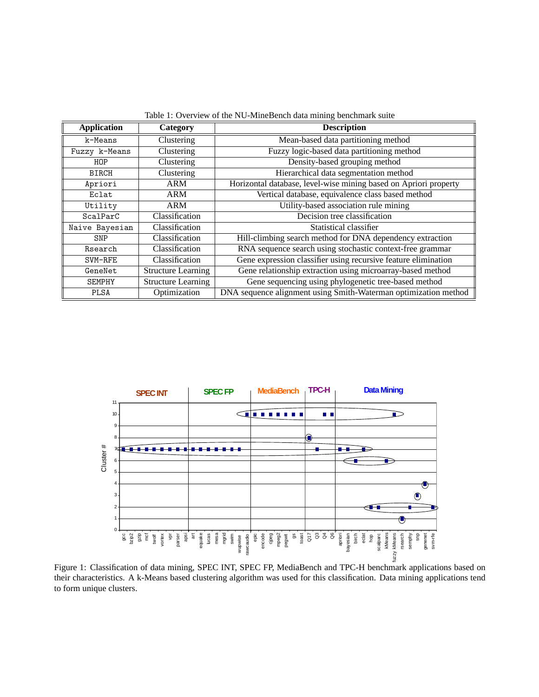| <b>Application</b> | Category                  | <b>Description</b>                                               |  |  |
|--------------------|---------------------------|------------------------------------------------------------------|--|--|
| k-Means            | Clustering                | Mean-based data partitioning method                              |  |  |
| Fuzzy k-Means      | Clustering                | Fuzzy logic-based data partitioning method                       |  |  |
| HOP                | Clustering                | Density-based grouping method                                    |  |  |
| <b>BIRCH</b>       | Clustering                | Hierarchical data segmentation method                            |  |  |
| Apriori            | <b>ARM</b>                | Horizontal database, level-wise mining based on Apriori property |  |  |
| Eclat              | <b>ARM</b>                | Vertical database, equivalence class based method                |  |  |
| Utility            | <b>ARM</b>                | Utility-based association rule mining                            |  |  |
| ScalParC           | Classification            | Decision tree classification                                     |  |  |
| Naive Bayesian     | Classification            | Statistical classifier                                           |  |  |
| SNP                | Classification            | Hill-climbing search method for DNA dependency extraction        |  |  |
| Rsearch            | Classification            | RNA sequence search using stochastic context-free grammar        |  |  |
| SVM-RFE            | Classification            | Gene expression classifier using recursive feature elimination   |  |  |
| GeneNet            | <b>Structure Learning</b> | Gene relationship extraction using microarray-based method       |  |  |
| <b>SEMPHY</b>      | <b>Structure Learning</b> | Gene sequencing using phylogenetic tree-based method             |  |  |
| <b>PLSA</b>        | Optimization              | DNA sequence alignment using Smith-Waterman optimization method  |  |  |

Table 1: Overview of the NU-MineBench data mining benchmark suite



Figure 1: Classification of data mining, SPEC INT, SPEC FP, MediaBench and TPC-H benchmark applications based on their characteristics. A k-Means based clustering algorithm was used for this classification. Data mining applications tend to form unique clusters.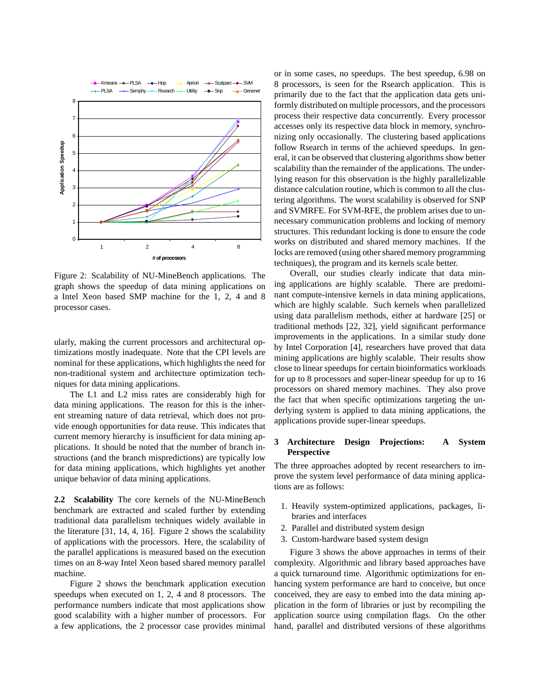

Figure 2: Scalability of NU-MineBench applications. The graph shows the speedup of data mining applications on a Intel Xeon based SMP machine for the 1, 2, 4 and 8 processor cases.

ularly, making the current processors and architectural optimizations mostly inadequate. Note that the CPI levels are nominal for these applications, which highlights the need for non-traditional system and architecture optimization techniques for data mining applications.

The L1 and L2 miss rates are considerably high for data mining applications. The reason for this is the inherent streaming nature of data retrieval, which does not provide enough opportunities for data reuse. This indicates that current memory hierarchy is insufficient for data mining applications. It should be noted that the number of branch instructions (and the branch mispredictions) are typically low for data mining applications, which highlights yet another unique behavior of data mining applications.

**2.2 Scalability** The core kernels of the NU-MineBench benchmark are extracted and scaled further by extending traditional data parallelism techniques widely available in the literature [31, 14, 4, 16]. Figure 2 shows the scalability of applications with the processors. Here, the scalability of the parallel applications is measured based on the execution times on an 8-way Intel Xeon based shared memory parallel machine.

Figure 2 shows the benchmark application execution speedups when executed on 1, 2, 4 and 8 processors. The performance numbers indicate that most applications show good scalability with a higher number of processors. For a few applications, the 2 processor case provides minimal

or in some cases, no speedups. The best speedup, 6.98 on 8 processors, is seen for the Rsearch application. This is primarily due to the fact that the application data gets uniformly distributed on multiple processors, and the processors process their respective data concurrently. Every processor accesses only its respective data block in memory, synchronizing only occasionally. The clustering based applications follow Rsearch in terms of the achieved speedups. In general, it can be observed that clustering algorithms show better scalability than the remainder of the applications. The underlying reason for this observation is the highly parallelizable distance calculation routine, which is common to all the clustering algorithms. The worst scalability is observed for SNP and SVMRFE. For SVM-RFE, the problem arises due to unnecessary communication problems and locking of memory structures. This redundant locking is done to ensure the code works on distributed and shared memory machines. If the locks are removed (using other shared memory programming techniques), the program and its kernels scale better.

Overall, our studies clearly indicate that data mining applications are highly scalable. There are predominant compute-intensive kernels in data mining applications, which are highly scalable. Such kernels when parallelized using data parallelism methods, either at hardware [25] or traditional methods [22, 32], yield significant performance improvements in the applications. In a similar study done by Intel Corporation [4], researchers have proved that data mining applications are highly scalable. Their results show close to linear speedups for certain bioinformatics workloads for up to 8 processors and super-linear speedup for up to 16 processors on shared memory machines. They also prove the fact that when specific optimizations targeting the underlying system is applied to data mining applications, the applications provide super-linear speedups.

# **3 Architecture Design Projections: A System Perspective**

The three approaches adopted by recent researchers to improve the system level performance of data mining applications are as follows:

- 1. Heavily system-optimized applications, packages, libraries and interfaces
- 2. Parallel and distributed system design
- 3. Custom-hardware based system design

Figure 3 shows the above approaches in terms of their complexity. Algorithmic and library based approaches have a quick turnaround time. Algorithmic optimizations for enhancing system performance are hard to conceive, but once conceived, they are easy to embed into the data mining application in the form of libraries or just by recompiling the application source using compilation flags. On the other hand, parallel and distributed versions of these algorithms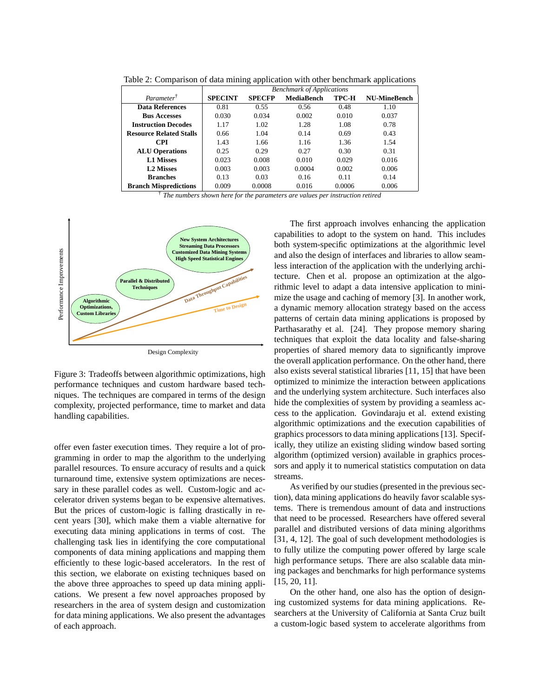|                                |                                  | . .           |                   |              | . .                 |  |  |
|--------------------------------|----------------------------------|---------------|-------------------|--------------|---------------------|--|--|
|                                | <b>Benchmark of Applications</b> |               |                   |              |                     |  |  |
| Parameter <sup>†</sup>         | <b>SPECINT</b>                   | <b>SPECFP</b> | <b>MediaBench</b> | <b>TPC-H</b> | <b>NU-MineBench</b> |  |  |
| <b>Data References</b>         | 0.81                             | 0.55          | 0.56              | 0.48         | 1.10                |  |  |
| <b>Bus Accesses</b>            | 0.030                            | 0.034         | 0.002             | 0.010        | 0.037               |  |  |
| <b>Instruction Decodes</b>     | 1.17                             | 1.02          | 1.28              | 1.08         | 0.78                |  |  |
| <b>Resource Related Stalls</b> | 0.66                             | 1.04          | 0.14              | 0.69         | 0.43                |  |  |
| CPI                            | 1.43                             | 1.66          | 1.16              | 1.36         | 1.54                |  |  |
| <b>ALU Operations</b>          | 0.25                             | 0.29          | 0.27              | 0.30         | 0.31                |  |  |
| <b>L1 Misses</b>               | 0.023                            | 0.008         | 0.010             | 0.029        | 0.016               |  |  |
| <b>L2 Misses</b>               | 0.003                            | 0.003         | 0.0004            | 0.002        | 0.006               |  |  |
| <b>Branches</b>                | 0.13                             | 0.03          | 0.16              | 0.11         | 0.14                |  |  |
| <b>Branch Mispredictions</b>   | 0.009                            | 0.0008        | 0.016             | 0.0006       | 0.006               |  |  |

Table 2: Comparison of data mining application with other benchmark applications

† *The numbers shown here for the parameters are values per instruction retired*



Figure 3: Tradeoffs between algorithmic optimizations, high performance techniques and custom hardware based techniques. The techniques are compared in terms of the design complexity, projected performance, time to market and data handling capabilities.

offer even faster execution times. They require a lot of programming in order to map the algorithm to the underlying parallel resources. To ensure accuracy of results and a quick turnaround time, extensive system optimizations are necessary in these parallel codes as well. Custom-logic and accelerator driven systems began to be expensive alternatives. But the prices of custom-logic is falling drastically in recent years [30], which make them a viable alternative for executing data mining applications in terms of cost. The challenging task lies in identifying the core computational components of data mining applications and mapping them efficiently to these logic-based accelerators. In the rest of this section, we elaborate on existing techniques based on the above three approaches to speed up data mining applications. We present a few novel approaches proposed by researchers in the area of system design and customization for data mining applications. We also present the advantages of each approach.

The first approach involves enhancing the application capabilities to adopt to the system on hand. This includes both system-specific optimizations at the algorithmic level and also the design of interfaces and libraries to allow seamless interaction of the application with the underlying architecture. Chen et al. propose an optimization at the algorithmic level to adapt a data intensive application to minimize the usage and caching of memory [3]. In another work, a dynamic memory allocation strategy based on the access patterns of certain data mining applications is proposed by Parthasarathy et al. [24]. They propose memory sharing techniques that exploit the data locality and false-sharing properties of shared memory data to significantly improve the overall application performance. On the other hand, there also exists several statistical libraries [11, 15] that have been optimized to minimize the interaction between applications and the underlying system architecture. Such interfaces also hide the complexities of system by providing a seamless access to the application. Govindaraju et al. extend existing algorithmic optimizations and the execution capabilities of graphics processors to data mining applications [13]. Specifically, they utilize an existing sliding window based sorting algorithm (optimized version) available in graphics processors and apply it to numerical statistics computation on data streams.

As verified by our studies (presented in the previous section), data mining applications do heavily favor scalable systems. There is tremendous amount of data and instructions that need to be processed. Researchers have offered several parallel and distributed versions of data mining algorithms [31, 4, 12]. The goal of such development methodologies is to fully utilize the computing power offered by large scale high performance setups. There are also scalable data mining packages and benchmarks for high performance systems [15, 20, 11].

On the other hand, one also has the option of designing customized systems for data mining applications. Researchers at the University of California at Santa Cruz built a custom-logic based system to accelerate algorithms from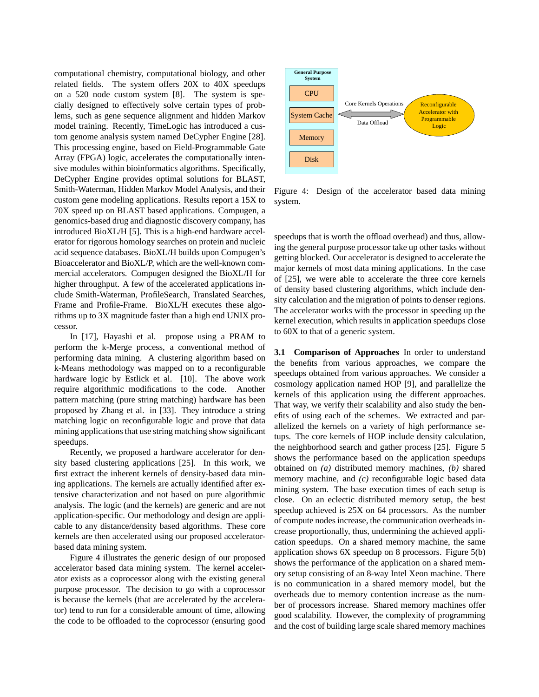computational chemistry, computational biology, and other related fields. The system offers 20X to 40X speedups on a 520 node custom system [8]. The system is specially designed to effectively solve certain types of problems, such as gene sequence alignment and hidden Markov model training. Recently, TimeLogic has introduced a custom genome analysis system named DeCypher Engine [28]. This processing engine, based on Field-Programmable Gate Array (FPGA) logic, accelerates the computationally intensive modules within bioinformatics algorithms. Specifically, DeCypher Engine provides optimal solutions for BLAST, Smith-Waterman, Hidden Markov Model Analysis, and their custom gene modeling applications. Results report a 15X to 70X speed up on BLAST based applications. Compugen, a genomics-based drug and diagnostic discovery company, has introduced BioXL/H [5]. This is a high-end hardware accelerator for rigorous homology searches on protein and nucleic acid sequence databases. BioXL/H builds upon Compugen's Bioaccelerator and BioXL/P, which are the well-known commercial accelerators. Compugen designed the BioXL/H for higher throughput. A few of the accelerated applications include Smith-Waterman, ProfileSearch, Translated Searches, Frame and Profile-Frame. BioXL/H executes these algorithms up to 3X magnitude faster than a high end UNIX processor.

In [17], Hayashi et al. propose using a PRAM to perform the k-Merge process, a conventional method of performing data mining. A clustering algorithm based on k-Means methodology was mapped on to a reconfigurable hardware logic by Estlick et al. [10]. The above work require algorithmic modifications to the code. Another pattern matching (pure string matching) hardware has been proposed by Zhang et al. in [33]. They introduce a string matching logic on reconfigurable logic and prove that data mining applications that use string matching show significant speedups.

Recently, we proposed a hardware accelerator for density based clustering applications [25]. In this work, we first extract the inherent kernels of density-based data mining applications. The kernels are actually identified after extensive characterization and not based on pure algorithmic analysis. The logic (and the kernels) are generic and are not application-specific. Our methodology and design are applicable to any distance/density based algorithms. These core kernels are then accelerated using our proposed acceleratorbased data mining system.

Figure 4 illustrates the generic design of our proposed accelerator based data mining system. The kernel accelerator exists as a coprocessor along with the existing general purpose processor. The decision to go with a coprocessor is because the kernels (that are accelerated by the accelerator) tend to run for a considerable amount of time, allowing the code to be offloaded to the coprocessor (ensuring good



Figure 4: Design of the accelerator based data mining system.

speedups that is worth the offload overhead) and thus, allowing the general purpose processor take up other tasks without getting blocked. Our accelerator is designed to accelerate the major kernels of most data mining applications. In the case of [25], we were able to accelerate the three core kernels of density based clustering algorithms, which include density calculation and the migration of points to denser regions. The accelerator works with the processor in speeding up the kernel execution, which results in application speedups close to 60X to that of a generic system.

**3.1 Comparison of Approaches** In order to understand the benefits from various approaches, we compare the speedups obtained from various approaches. We consider a cosmology application named HOP [9], and parallelize the kernels of this application using the different approaches. That way, we verify their scalability and also study the benefits of using each of the schemes. We extracted and parallelized the kernels on a variety of high performance setups. The core kernels of HOP include density calculation, the neighborhood search and gather process [25]. Figure 5 shows the performance based on the application speedups obtained on *(a)* distributed memory machines, *(b)* shared memory machine, and *(c)* reconfigurable logic based data mining system. The base execution times of each setup is close. On an eclectic distributed memory setup, the best speedup achieved is 25X on 64 processors. As the number of compute nodes increase, the communication overheads increase proportionally, thus, undermining the achieved application speedups. On a shared memory machine, the same application shows 6X speedup on 8 processors. Figure 5(b) shows the performance of the application on a shared memory setup consisting of an 8-way Intel Xeon machine. There is no communication in a shared memory model, but the overheads due to memory contention increase as the number of processors increase. Shared memory machines offer good scalability. However, the complexity of programming and the cost of building large scale shared memory machines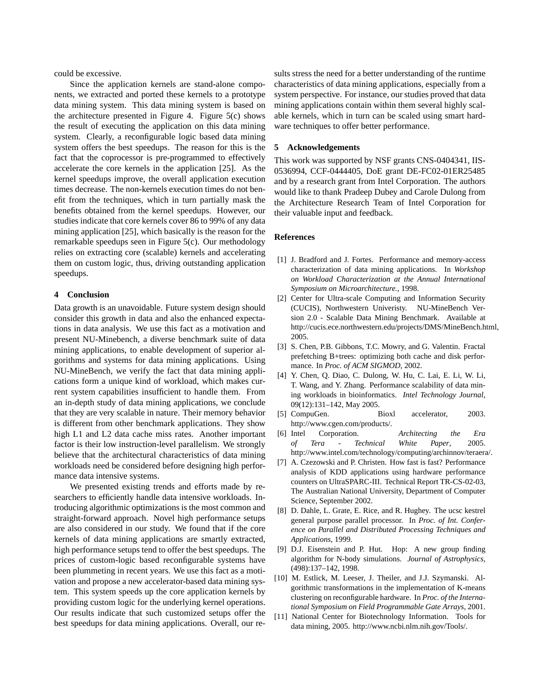could be excessive.

Since the application kernels are stand-alone components, we extracted and ported these kernels to a prototype data mining system. This data mining system is based on the architecture presented in Figure 4. Figure 5(c) shows the result of executing the application on this data mining system. Clearly, a reconfigurable logic based data mining system offers the best speedups. The reason for this is the fact that the coprocessor is pre-programmed to effectively accelerate the core kernels in the application [25]. As the kernel speedups improve, the overall application execution times decrease. The non-kernels execution times do not benefit from the techniques, which in turn partially mask the benefits obtained from the kernel speedups. However, our studies indicate that core kernels cover 86 to 99% of any data mining application [25], which basically is the reason for the remarkable speedups seen in Figure 5(c). Our methodology relies on extracting core (scalable) kernels and accelerating them on custom logic, thus, driving outstanding application speedups.

## **4 Conclusion**

Data growth is an unavoidable. Future system design should consider this growth in data and also the enhanced expectations in data analysis. We use this fact as a motivation and present NU-Minebench, a diverse benchmark suite of data mining applications, to enable development of superior algorithms and systems for data mining applications. Using NU-MineBench, we verify the fact that data mining applications form a unique kind of workload, which makes current system capabilities insufficient to handle them. From an in-depth study of data mining applications, we conclude that they are very scalable in nature. Their memory behavior is different from other benchmark applications. They show high L1 and L2 data cache miss rates. Another important factor is their low instruction-level parallelism. We strongly believe that the architectural characteristics of data mining workloads need be considered before designing high performance data intensive systems.

We presented existing trends and efforts made by researchers to efficiently handle data intensive workloads. Introducing algorithmic optimizations is the most common and straight-forward approach. Novel high performance setups are also considered in our study. We found that if the core kernels of data mining applications are smartly extracted, high performance setups tend to offer the best speedups. The prices of custom-logic based reconfigurable systems have been plummeting in recent years. We use this fact as a motivation and propose a new accelerator-based data mining system. This system speeds up the core application kernels by providing custom logic for the underlying kernel operations. Our results indicate that such customized setups offer the best speedups for data mining applications. Overall, our re-

sults stress the need for a better understanding of the runtime characteristics of data mining applications, especially from a system perspective. For instance, our studies proved that data mining applications contain within them several highly scalable kernels, which in turn can be scaled using smart hardware techniques to offer better performance.

#### **5 Acknowledgements**

This work was supported by NSF grants CNS-0404341, IIS-0536994, CCF-0444405, DoE grant DE-FC02-01ER25485 and by a research grant from Intel Corporation. The authors would like to thank Pradeep Dubey and Carole Dulong from the Architecture Research Team of Intel Corporation for their valuable input and feedback.

## **References**

- [1] J. Bradford and J. Fortes. Performance and memory-access characterization of data mining applications. In *Workshop on Workload Characterization at the Annual International Symposium on Microarchitecture.*, 1998.
- [2] Center for Ultra-scale Computing and Information Security (CUCIS), Northwestern Univeristy. NU-MineBench Version 2.0 - Scalable Data Mining Benchmark. Available at http://cucis.ece.northwestern.edu/projects/DMS/MineBench.html, 2005.
- [3] S. Chen, P.B. Gibbons, T.C. Mowry, and G. Valentin. Fractal prefetching B+trees: optimizing both cache and disk performance. In *Proc. of ACM SIGMOD*, 2002.
- [4] Y. Chen, Q. Diao, C. Dulong, W. Hu, C. Lai, E. Li, W. Li, T. Wang, and Y. Zhang. Performance scalability of data mining workloads in bioinformatics. *Intel Technology Journal*, 09(12):131–142, May 2005.
- [5] CompuGen. Bioxl accelerator, 2003. http://www.cgen.com/products/.
- [6] Intel Corporation. *Architecting the Era of Tera - Technical White Paper*, 2005. http://www.intel.com/technology/computing/archinnov/teraera/.
- [7] A. Czezowski and P. Christen. How fast is fast? Performance analysis of KDD applications using hardware performance counters on UltraSPARC-III. Technical Report TR-CS-02-03, The Australian National University, Department of Computer Science, September 2002.
- [8] D. Dahle, L. Grate, E. Rice, and R. Hughey. The ucsc kestrel general purpose parallel processor. In *Proc. of Int. Conference on Parallel and Distributed Processing Techniques and Applications*, 1999.
- [9] D.J. Eisenstein and P. Hut. Hop: A new group finding algorithm for N-body simulations. *Journal of Astrophysics*, (498):137–142, 1998.
- [10] M. Estlick, M. Leeser, J. Theiler, and J.J. Szymanski. Algorithmic transformations in the implementation of K-means clustering on reconfigurable hardware. In *Proc. of the International Symposium on Field Programmable Gate Arrays*, 2001.
- [11] National Center for Biotechnology Information. Tools for data mining, 2005. http://www.ncbi.nlm.nih.gov/Tools/.